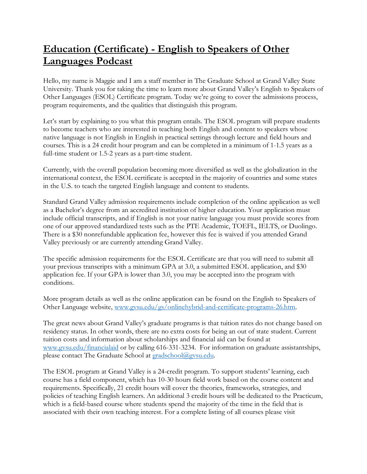## **Education (Certificate) - English to Speakers of Other Languages Podcast**

Hello, my name is Maggie and I am a staff member in The Graduate School at Grand Valley State University. Thank you for taking the time to learn more about Grand Valley's English to Speakers of Other Languages (ESOL) Certificate program. Today we're going to cover the admissions process, program requirements, and the qualities that distinguish this program.

Let's start by explaining to you what this program entails. The ESOL program will prepare students to become teachers who are interested in teaching both English and content to speakers whose native language is not English in English in practical settings through lecture and field hours and courses. This is a 24 credit hour program and can be completed in a minimum of 1-1.5 years as a full-time student or 1.5-2 years as a part-time student.

Currently, with the overall population becoming more diversified as well as the globalization in the international context, the ESOL certificate is accepted in the majority of countries and some states in the U.S. to teach the targeted English language and content to students.

Standard Grand Valley admission requirements include completion of the online application as well as a Bachelor's degree from an accredited institution of higher education. Your application must include official transcripts, and if English is not your native language you must provide scores from one of our approved standardized tests such as the PTE Academic, TOEFL, IELTS, or Duolingo. There is a \$30 nonrefundable application fee, however this fee is waived if you attended Grand Valley previously or are currently attending Grand Valley.

The specific admission requirements for the ESOL Certificate are that you will need to submit all your previous transcripts with a minimum GPA at 3.0, a submitted ESOL application, and \$30 application fee. If your GPA is lower than 3.0, you may be accepted into the program with conditions.

More program details as well as the online application can be found on the English to Speakers of Other Language website, [www.gvsu.edu/gs/onlinehybrid-and-certificate-programs-26.htm.](https://www.gvsu.edu/gs/onlinehybrid-and-certificate-programs-26.htm)

The great news about Grand Valley's graduate programs is that tuition rates do not change based on residency status. In other words, there are no extra costs for being an out of state student. Current tuition costs and information about scholarships and financial aid can be found at www.gvsu.edu/financialaid [or by calling 616-331-3234.](http://www.gvsu.edu/financialaid%20or%20by%20calling%20616-331-3234) For information on graduate assistantships, please contact The Graduate School at [gradschool@gvsu.edu.](mailto:gradschool@gvsu.edu)

The ESOL program at Grand Valley is a 24-credit program. To support students' learning, each course has a field component, which has 10-30 hours field work based on the course content and requirements. Specifically, 21 credit hours will cover the theories, frameworks, strategies, and policies of teaching English learners. An additional 3 credit hours will be dedicated to the Practicum, which is a field-based course where students spend the majority of the time in the field that is associated with their own teaching interest. For a complete listing of all courses please visit